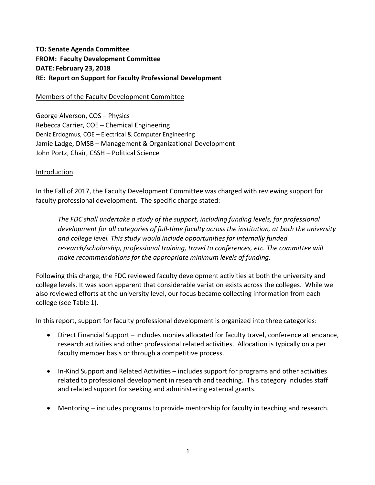# **TO: Senate Agenda Committee FROM: Faculty Development Committee DATE: February 23, 2018 RE: Report on Support for Faculty Professional Development**

#### Members of the Faculty Development Committee

George Alverson, COS – Physics Rebecca Carrier, COE – Chemical Engineering Deniz Erdogmus, COE – Electrical & Computer Engineering Jamie Ladge, DMSB – Management & Organizational Development John Portz, Chair, CSSH – Political Science

#### Introduction

In the Fall of 2017, the Faculty Development Committee was charged with reviewing support for faculty professional development. The specific charge stated:

*The FDC shall undertake a study of the support, including funding levels, for professional development for all categories of full-time faculty across the institution, at both the university and college level. This study would include opportunities for internally funded research/scholarship, professional training, travel to conferences, etc. The committee will make recommendations for the appropriate minimum levels of funding.*

Following this charge, the FDC reviewed faculty development activities at both the university and college levels. It was soon apparent that considerable variation exists across the colleges. While we also reviewed efforts at the university level, our focus became collecting information from each college (see Table 1).

In this report, support for faculty professional development is organized into three categories:

- Direct Financial Support includes monies allocated for faculty travel, conference attendance, research activities and other professional related activities. Allocation is typically on a per faculty member basis or through a competitive process.
- In-Kind Support and Related Activities includes support for programs and other activities related to professional development in research and teaching. This category includes staff and related support for seeking and administering external grants.
- Mentoring includes programs to provide mentorship for faculty in teaching and research.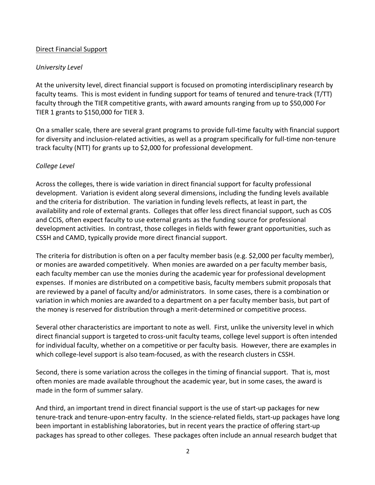## Direct Financial Support

# *University Level*

At the university level, direct financial support is focused on promoting interdisciplinary research by faculty teams. This is most evident in funding support for teams of tenured and tenure-track (T/TT) faculty through the TIER competitive grants, with award amounts ranging from up to \$50,000 For TIER 1 grants to \$150,000 for TIER 3.

On a smaller scale, there are several grant programs to provide full-time faculty with financial support for diversity and inclusion-related activities, as well as a program specifically for full-time non-tenure track faculty (NTT) for grants up to \$2,000 for professional development.

# *College Level*

Across the colleges, there is wide variation in direct financial support for faculty professional development. Variation is evident along several dimensions, including the funding levels available and the criteria for distribution. The variation in funding levels reflects, at least in part, the availability and role of external grants. Colleges that offer less direct financial support, such as COS and CCIS, often expect faculty to use external grants as the funding source for professional development activities. In contrast, those colleges in fields with fewer grant opportunities, such as CSSH and CAMD, typically provide more direct financial support.

The criteria for distribution is often on a per faculty member basis (e.g. \$2,000 per faculty member), or monies are awarded competitively. When monies are awarded on a per faculty member basis, each faculty member can use the monies during the academic year for professional development expenses. If monies are distributed on a competitive basis, faculty members submit proposals that are reviewed by a panel of faculty and/or administrators. In some cases, there is a combination or variation in which monies are awarded to a department on a per faculty member basis, but part of the money is reserved for distribution through a merit-determined or competitive process.

Several other characteristics are important to note as well. First, unlike the university level in which direct financial support is targeted to cross-unit faculty teams, college level support is often intended for individual faculty, whether on a competitive or per faculty basis. However, there are examples in which college-level support is also team-focused, as with the research clusters in CSSH.

Second, there is some variation across the colleges in the timing of financial support. That is, most often monies are made available throughout the academic year, but in some cases, the award is made in the form of summer salary.

And third, an important trend in direct financial support is the use of start-up packages for new tenure-track and tenure-upon-entry faculty. In the science-related fields, start-up packages have long been important in establishing laboratories, but in recent years the practice of offering start-up packages has spread to other colleges. These packages often include an annual research budget that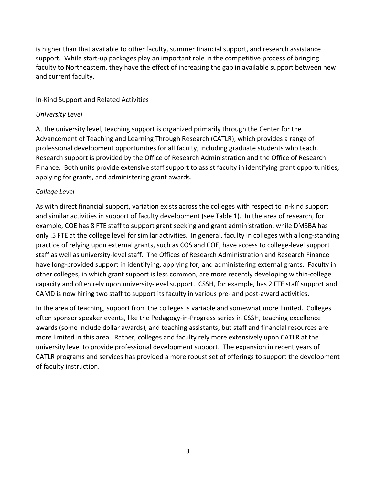is higher than that available to other faculty, summer financial support, and research assistance support. While start-up packages play an important role in the competitive process of bringing faculty to Northeastern, they have the effect of increasing the gap in available support between new and current faculty.

## In-Kind Support and Related Activities

#### *University Level*

At the university level, teaching support is organized primarily through the Center for the Advancement of Teaching and Learning Through Research (CATLR), which provides a range of professional development opportunities for all faculty, including graduate students who teach. Research support is provided by the Office of Research Administration and the Office of Research Finance. Both units provide extensive staff support to assist faculty in identifying grant opportunities, applying for grants, and administering grant awards.

# *College Level*

As with direct financial support, variation exists across the colleges with respect to in-kind support and similar activities in support of faculty development (see Table 1). In the area of research, for example, COE has 8 FTE staff to support grant seeking and grant administration, while DMSBA has only .5 FTE at the college level for similar activities. In general, faculty in colleges with a long-standing practice of relying upon external grants, such as COS and COE, have access to college-level support staff as well as university-level staff. The Offices of Research Administration and Research Finance have long-provided support in identifying, applying for, and administering external grants. Faculty in other colleges, in which grant support is less common, are more recently developing within-college capacity and often rely upon university-level support. CSSH, for example, has 2 FTE staff support and CAMD is now hiring two staff to support its faculty in various pre- and post-award activities.

In the area of teaching, support from the colleges is variable and somewhat more limited. Colleges often sponsor speaker events, like the Pedagogy-in-Progress series in CSSH, teaching excellence awards (some include dollar awards), and teaching assistants, but staff and financial resources are more limited in this area. Rather, colleges and faculty rely more extensively upon CATLR at the university level to provide professional development support. The expansion in recent years of CATLR programs and services has provided a more robust set of offerings to support the development of faculty instruction.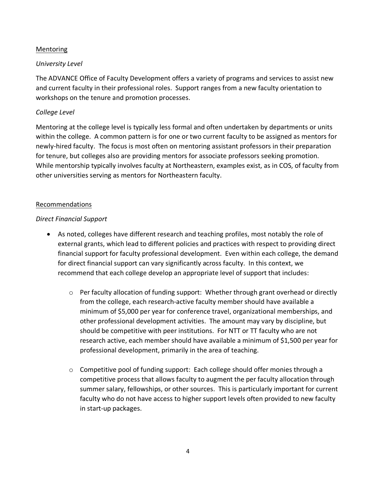## **Mentoring**

# *University Level*

The ADVANCE Office of Faculty Development offers a variety of programs and services to assist new and current faculty in their professional roles. Support ranges from a new faculty orientation to workshops on the tenure and promotion processes.

## *College Level*

Mentoring at the college level is typically less formal and often undertaken by departments or units within the college. A common pattern is for one or two current faculty to be assigned as mentors for newly-hired faculty. The focus is most often on mentoring assistant professors in their preparation for tenure, but colleges also are providing mentors for associate professors seeking promotion. While mentorship typically involves faculty at Northeastern, examples exist, as in COS, of faculty from other universities serving as mentors for Northeastern faculty.

#### Recommendations

# *Direct Financial Support*

- As noted, colleges have different research and teaching profiles, most notably the role of external grants, which lead to different policies and practices with respect to providing direct financial support for faculty professional development. Even within each college, the demand for direct financial support can vary significantly across faculty. In this context, we recommend that each college develop an appropriate level of support that includes:
	- o Per faculty allocation of funding support: Whether through grant overhead or directly from the college, each research-active faculty member should have available a minimum of \$5,000 per year for conference travel, organizational memberships, and other professional development activities. The amount may vary by discipline, but should be competitive with peer institutions. For NTT or TT faculty who are not research active, each member should have available a minimum of \$1,500 per year for professional development, primarily in the area of teaching.
	- o Competitive pool of funding support: Each college should offer monies through a competitive process that allows faculty to augment the per faculty allocation through summer salary, fellowships, or other sources. This is particularly important for current faculty who do not have access to higher support levels often provided to new faculty in start-up packages.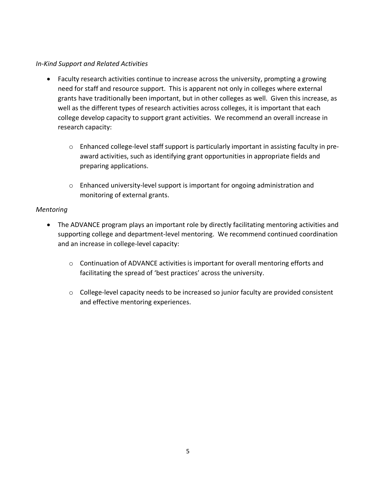## *In-Kind Support and Related Activities*

- Faculty research activities continue to increase across the university, prompting a growing need for staff and resource support. This is apparent not only in colleges where external grants have traditionally been important, but in other colleges as well. Given this increase, as well as the different types of research activities across colleges, it is important that each college develop capacity to support grant activities. We recommend an overall increase in research capacity:
	- o Enhanced college-level staff support is particularly important in assisting faculty in preaward activities, such as identifying grant opportunities in appropriate fields and preparing applications.
	- o Enhanced university-level support is important for ongoing administration and monitoring of external grants.

## *Mentoring*

- The ADVANCE program plays an important role by directly facilitating mentoring activities and supporting college and department-level mentoring. We recommend continued coordination and an increase in college-level capacity:
	- $\circ$  Continuation of ADVANCE activities is important for overall mentoring efforts and facilitating the spread of 'best practices' across the university.
	- o College-level capacity needs to be increased so junior faculty are provided consistent and effective mentoring experiences.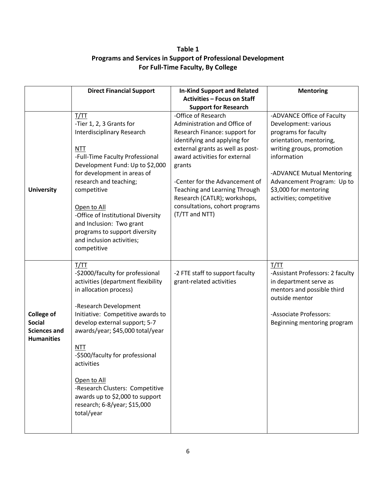# **Table 1 Programs and Services in Support of Professional Development For Full-Time Faculty, By College**

|                                                                                | <b>Direct Financial Support</b>                                                                                                                                                                                                                                                                                                                                                                                                               | <b>In-Kind Support and Related</b>                                                                                                                                                                                                                                                                                                                         | <b>Mentoring</b>                                                                                                                                                                                                                                                 |
|--------------------------------------------------------------------------------|-----------------------------------------------------------------------------------------------------------------------------------------------------------------------------------------------------------------------------------------------------------------------------------------------------------------------------------------------------------------------------------------------------------------------------------------------|------------------------------------------------------------------------------------------------------------------------------------------------------------------------------------------------------------------------------------------------------------------------------------------------------------------------------------------------------------|------------------------------------------------------------------------------------------------------------------------------------------------------------------------------------------------------------------------------------------------------------------|
|                                                                                |                                                                                                                                                                                                                                                                                                                                                                                                                                               | <b>Activities - Focus on Staff</b>                                                                                                                                                                                                                                                                                                                         |                                                                                                                                                                                                                                                                  |
|                                                                                |                                                                                                                                                                                                                                                                                                                                                                                                                                               | <b>Support for Research</b>                                                                                                                                                                                                                                                                                                                                |                                                                                                                                                                                                                                                                  |
| <b>University</b>                                                              | T/TT<br>-Tier 1, 2, 3 Grants for<br>Interdisciplinary Research<br><b>NTT</b><br>-Full-Time Faculty Professional<br>Development Fund: Up to \$2,000<br>for development in areas of<br>research and teaching;<br>competitive<br>Open to All<br>-Office of Institutional Diversity<br>and Inclusion: Two grant<br>programs to support diversity<br>and inclusion activities;<br>competitive                                                      | -Office of Research<br>Administration and Office of<br>Research Finance: support for<br>identifying and applying for<br>external grants as well as post-<br>award activities for external<br>grants<br>-Center for the Advancement of<br>Teaching and Learning Through<br>Research (CATLR); workshops,<br>consultations, cohort programs<br>(T/TT and NTT) | -ADVANCE Office of Faculty<br>Development: various<br>programs for faculty<br>orientation, mentoring,<br>writing groups, promotion<br>information<br>-ADVANCE Mutual Mentoring<br>Advancement Program: Up to<br>\$3,000 for mentoring<br>activities; competitive |
| <b>College of</b><br><b>Social</b><br><b>Sciences and</b><br><b>Humanities</b> | T/TT<br>-\$2000/faculty for professional<br>activities (department flexibility<br>in allocation process)<br>-Research Development<br>Initiative: Competitive awards to<br>develop external support; 5-7<br>awards/year; \$45,000 total/year<br><b>NTT</b><br>-\$500/faculty for professional<br>activities<br>Open to All<br>-Research Clusters: Competitive<br>awards up to \$2,000 to support<br>research; 6-8/year; \$15,000<br>total/year | -2 FTE staff to support faculty<br>grant-related activities                                                                                                                                                                                                                                                                                                | T/TT<br>-Assistant Professors: 2 faculty<br>in department serve as<br>mentors and possible third<br>outside mentor<br>-Associate Professors:<br>Beginning mentoring program                                                                                      |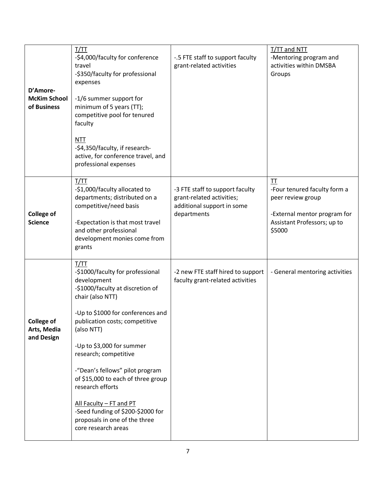| D'Amore-<br><b>McKim School</b><br>of Business | T/TT<br>-\$4,000/faculty for conference<br>travel<br>-\$350/faculty for professional<br>expenses<br>-1/6 summer support for<br>minimum of 5 years (TT);<br>competitive pool for tenured<br>faculty<br><b>NTT</b><br>-\$4,350/faculty, if research-<br>active, for conference travel, and<br>professional expenses                                                                                                                                                               | -.5 FTE staff to support faculty<br>grant-related activities                                              | T/TT and NTT<br>-Mentoring program and<br>activities within DMSBA<br>Groups                                                      |
|------------------------------------------------|---------------------------------------------------------------------------------------------------------------------------------------------------------------------------------------------------------------------------------------------------------------------------------------------------------------------------------------------------------------------------------------------------------------------------------------------------------------------------------|-----------------------------------------------------------------------------------------------------------|----------------------------------------------------------------------------------------------------------------------------------|
| <b>College of</b><br><b>Science</b>            | T/TT<br>-\$1,000/faculty allocated to<br>departments; distributed on a<br>competitive/need basis<br>-Expectation is that most travel<br>and other professional<br>development monies come from<br>grants                                                                                                                                                                                                                                                                        | -3 FTE staff to support faculty<br>grant-related activities;<br>additional support in some<br>departments | II<br>-Four tenured faculty form a<br>peer review group<br>-External mentor program for<br>Assistant Professors; up to<br>\$5000 |
| <b>College of</b><br>Arts, Media<br>and Design | I/IT<br>-\$1000/faculty for professional<br>development<br>-\$1000/faculty at discretion of<br>chair (also NTT)<br>-Up to \$1000 for conferences and<br>publication costs; competitive<br>(also NTT)<br>-Up to \$3,000 for summer<br>research; competitive<br>-"Dean's fellows" pilot program<br>of \$15,000 to each of three group<br>research efforts<br>All Faculty - FT and PT<br>-Seed funding of \$200-\$2000 for<br>proposals in one of the three<br>core research areas | -2 new FTE staff hired to support<br>faculty grant-related activities                                     | - General mentoring activities                                                                                                   |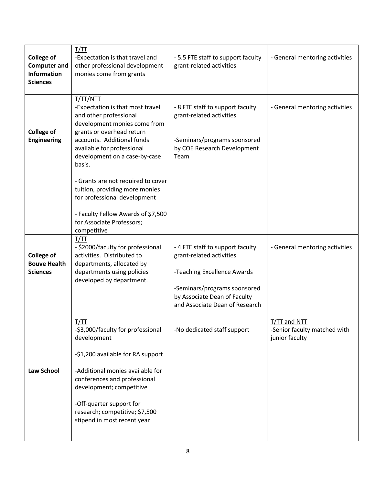| <b>College of</b><br><b>Computer and</b><br><b>Information</b><br><b>Sciences</b> | T/TT<br>-Expectation is that travel and<br>other professional development<br>monies come from grants                                                             | - 5.5 FTE staff to support faculty<br>grant-related activities                                 | - General mentoring activities                                 |
|-----------------------------------------------------------------------------------|------------------------------------------------------------------------------------------------------------------------------------------------------------------|------------------------------------------------------------------------------------------------|----------------------------------------------------------------|
|                                                                                   | T/TT/NTT<br>-Expectation is that most travel<br>and other professional                                                                                           | - 8 FTE staff to support faculty<br>grant-related activities                                   | - General mentoring activities                                 |
| <b>College of</b><br><b>Engineering</b>                                           | development monies come from<br>grants or overhead return<br>accounts. Additional funds<br>available for professional<br>development on a case-by-case<br>basis. | -Seminars/programs sponsored<br>by COE Research Development<br>Team                            |                                                                |
|                                                                                   | - Grants are not required to cover<br>tuition, providing more monies<br>for professional development                                                             |                                                                                                |                                                                |
|                                                                                   | - Faculty Fellow Awards of \$7,500<br>for Associate Professors;<br>competitive                                                                                   |                                                                                                |                                                                |
| <b>College of</b><br><b>Bouve Health</b><br><b>Sciences</b>                       | T/TT<br>- \$2000/faculty for professional<br>activities. Distributed to<br>departments, allocated by<br>departments using policies<br>developed by department.   | -4 FTE staff to support faculty<br>grant-related activities<br>-Teaching Excellence Awards     | - General mentoring activities                                 |
|                                                                                   |                                                                                                                                                                  | -Seminars/programs sponsored<br>by Associate Dean of Faculty<br>and Associate Dean of Research |                                                                |
|                                                                                   | T/TT<br>-\$3,000/faculty for professional<br>development                                                                                                         | -No dedicated staff support                                                                    | T/TT and NTT<br>-Senior faculty matched with<br>junior faculty |
|                                                                                   | -\$1,200 available for RA support                                                                                                                                |                                                                                                |                                                                |
| <b>Law School</b>                                                                 | -Additional monies available for<br>conferences and professional<br>development; competitive                                                                     |                                                                                                |                                                                |
|                                                                                   | -Off-quarter support for<br>research; competitive; \$7,500<br>stipend in most recent year                                                                        |                                                                                                |                                                                |
|                                                                                   |                                                                                                                                                                  |                                                                                                |                                                                |